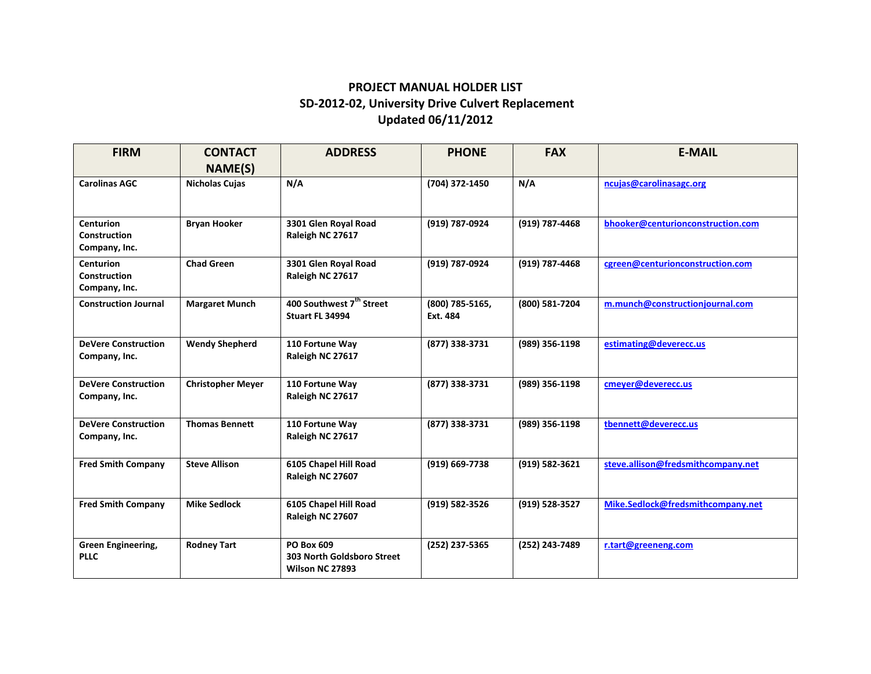## **PROJECT MANUAL HOLDER LIST SD‐2012‐02, University Drive Culvert Replacement Updated 06/11/2012**

| <b>FIRM</b>                                              | <b>CONTACT</b><br><b>NAME(S)</b> | <b>ADDRESS</b>                                              | <b>PHONE</b>                | <b>FAX</b>     | <b>E-MAIL</b>                      |
|----------------------------------------------------------|----------------------------------|-------------------------------------------------------------|-----------------------------|----------------|------------------------------------|
| <b>Carolinas AGC</b>                                     | <b>Nicholas Cujas</b>            | N/A                                                         | (704) 372-1450              | N/A            | ncujas@carolinasagc.org            |
| <b>Centurion</b><br><b>Construction</b><br>Company, Inc. | <b>Bryan Hooker</b>              | 3301 Glen Royal Road<br>Raleigh NC 27617                    | (919) 787-0924              | (919) 787-4468 | bhooker@centurionconstruction.com  |
| <b>Centurion</b><br><b>Construction</b><br>Company, Inc. | <b>Chad Green</b>                | 3301 Glen Royal Road<br>Raleigh NC 27617                    | (919) 787-0924              | (919) 787-4468 | cgreen@centurionconstruction.com   |
| <b>Construction Journal</b>                              | <b>Margaret Munch</b>            | 400 Southwest 7 <sup>th</sup> Street<br>Stuart FL 34994     | (800) 785-5165,<br>Ext. 484 | (800) 581-7204 | m.munch@constructionjournal.com    |
| <b>DeVere Construction</b><br>Company, Inc.              | <b>Wendy Shepherd</b>            | 110 Fortune Way<br>Raleigh NC 27617                         | (877) 338-3731              | (989) 356-1198 | estimating@deverecc.us             |
| <b>DeVere Construction</b><br>Company, Inc.              | <b>Christopher Meyer</b>         | 110 Fortune Way<br>Raleigh NC 27617                         | (877) 338-3731              | (989) 356-1198 | cmever@deverecc.us                 |
| <b>DeVere Construction</b><br>Company, Inc.              | <b>Thomas Bennett</b>            | 110 Fortune Way<br>Raleigh NC 27617                         | (877) 338-3731              | (989) 356-1198 | tbennett@deverecc.us               |
| <b>Fred Smith Company</b>                                | <b>Steve Allison</b>             | 6105 Chapel Hill Road<br>Raleigh NC 27607                   | (919) 669-7738              | (919) 582-3621 | steve.allison@fredsmithcompany.net |
| <b>Fred Smith Company</b>                                | <b>Mike Sedlock</b>              | 6105 Chapel Hill Road<br>Raleigh NC 27607                   | (919) 582-3526              | (919) 528-3527 | Mike.Sedlock@fredsmithcompany.net  |
| <b>Green Engineering,</b><br><b>PLLC</b>                 | <b>Rodney Tart</b>               | PO Box 609<br>303 North Goldsboro Street<br>Wilson NC 27893 | (252) 237-5365              | (252) 243-7489 | r.tart@greeneng.com                |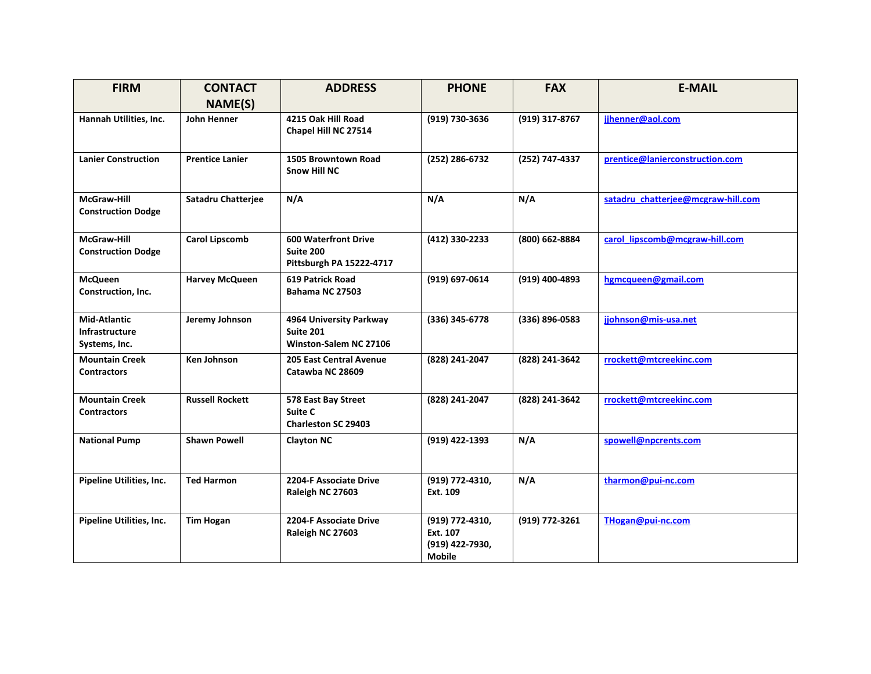| <b>FIRM</b>                                                   | <b>CONTACT</b>            | <b>ADDRESS</b>                                                       | <b>PHONE</b>                                                    | <b>FAX</b>     | <b>E-MAIL</b>                      |
|---------------------------------------------------------------|---------------------------|----------------------------------------------------------------------|-----------------------------------------------------------------|----------------|------------------------------------|
|                                                               | <b>NAME(S)</b>            |                                                                      |                                                                 |                |                                    |
| Hannah Utilities, Inc.                                        | John Henner               | 4215 Oak Hill Road<br>Chapel Hill NC 27514                           | (919) 730-3636                                                  | (919) 317-8767 | jihenner@aol.com                   |
| <b>Lanier Construction</b>                                    | <b>Prentice Lanier</b>    | 1505 Browntown Road<br><b>Snow Hill NC</b>                           | (252) 286-6732                                                  | (252) 747-4337 | prentice@lanierconstruction.com    |
| McGraw-Hill<br><b>Construction Dodge</b>                      | <b>Satadru Chatterjee</b> | N/A                                                                  | N/A                                                             | N/A            | satadru chatterjee@mcgraw-hill.com |
| McGraw-Hill<br><b>Construction Dodge</b>                      | <b>Carol Lipscomb</b>     | <b>600 Waterfront Drive</b><br>Suite 200<br>Pittsburgh PA 15222-4717 | (412) 330-2233                                                  | (800) 662-8884 | carol lipscomb@mcgraw-hill.com     |
| <b>McQueen</b><br>Construction, Inc.                          | <b>Harvey McQueen</b>     | <b>619 Patrick Road</b><br><b>Bahama NC 27503</b>                    | (919) 697-0614                                                  | (919) 400-4893 | hgmcqueen@gmail.com                |
| <b>Mid-Atlantic</b><br><b>Infrastructure</b><br>Systems, Inc. | Jeremy Johnson            | 4964 University Parkway<br>Suite 201<br>Winston-Salem NC 27106       | (336) 345-6778                                                  | (336) 896-0583 | jjohnson@mis-usa.net               |
| <b>Mountain Creek</b><br><b>Contractors</b>                   | <b>Ken Johnson</b>        | <b>205 East Central Avenue</b><br>Catawba NC 28609                   | (828) 241-2047                                                  | (828) 241-3642 | rrockett@mtcreekinc.com            |
| <b>Mountain Creek</b><br><b>Contractors</b>                   | <b>Russell Rockett</b>    | 578 East Bay Street<br>Suite C<br><b>Charleston SC 29403</b>         | (828) 241-2047                                                  | (828) 241-3642 | rrockett@mtcreekinc.com            |
| <b>National Pump</b>                                          | <b>Shawn Powell</b>       | <b>Clayton NC</b>                                                    | (919) 422-1393                                                  | N/A            | spowell@npcrents.com               |
| Pipeline Utilities, Inc.                                      | <b>Ted Harmon</b>         | 2204-F Associate Drive<br>Raleigh NC 27603                           | (919) 772-4310,<br>Ext. 109                                     | N/A            | tharmon@pui-nc.com                 |
| Pipeline Utilities, Inc.                                      | <b>Tim Hogan</b>          | 2204-F Associate Drive<br>Raleigh NC 27603                           | (919) 772-4310,<br>Ext. 107<br>(919) 422-7930,<br><b>Mobile</b> | (919) 772-3261 | THogan@pui-nc.com                  |